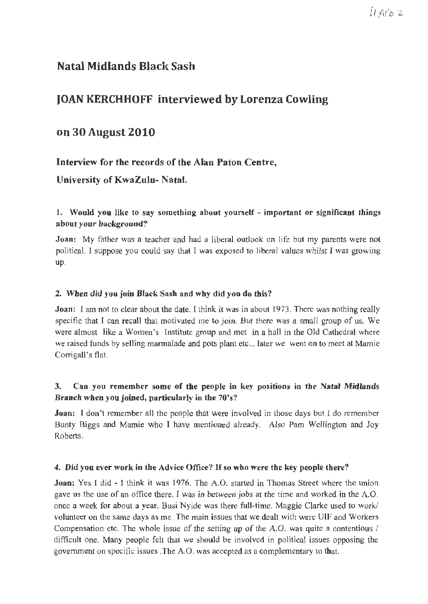# $11$  APB  $2$

# **Natal Midlands Black Sash**

# **JOAN KERCHHOFF interviewed by Lorenza Cowling**

# **on 30 August 2010**

# **Interview for the records of the Alan Paton Centre,**

# **University of KwaZulu- Natal.**

### **1. Would you like to say something about yourself** - **important or significant things about your background?**

**Joan:** My father was a teacher and had a liberal outlook on life but my parents were not political. I suppose you could say that I was exposed to liberal values whilst I was growing up.

#### **2. When did you join Black Sash and why did you do this?**

**Joan:** I am not to clear about the date. I think it was in about 1973. There was nothing really specific that I can recall that motivated me to join. But there was a small group of us. We were almost like a Women's Institute group and met in a hall in the Old Cathedral where we raised funds by selling marmalade and pots plant etc... later we went on to meet at Mamie Corrigall's flat.

# **3. Can you remember some of the people in key positions in the Natal Midlands Branch when you joined, particularly in the 70's?**

**Joan:** I don't remember all the people that were involved in those days but I do remember Bunty Biggs and Mamie who I have mentioned already. Also Pam Wellington and Joy Roberts.

#### **4. Did you ever work in the Advice Office?** If **so who were the key people there?**

**Joan:** Yes I did - I think it was 1976. The A.O. started in Thomas Street where the union gave us the use of an office there. I was in between jobs at the time and worked in the A.O. once a week for about a year. Busi Nyide was there full-time. Maggie Clarke used to work/ volunteer on the same days as me. The main issues that we dealt with were UIF and Workers Compensation etc. The whole issue of the setting up of the A.O. was quite a contentious / difficult one. Many people felt that we should be involved in political issues opposing the government on specific issues .The A.O. was accepted as a complementary to that.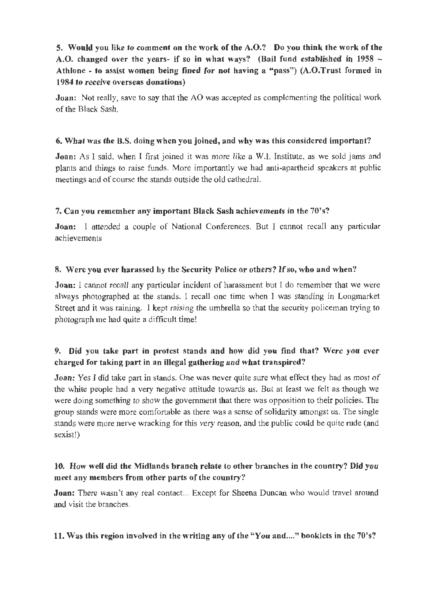# **5. Would you like to comment on the work of the A.O.? Do you think the work of the A.O. changed over the years- if so in what ways? (Bail fund established in 1958** - **Athlone** - **to assist women being fined for not having a "pass") (A.O.Trust formed in 1984 to receive overseas donations)**

**Joan:** Not really, save to say that the AO was accepted as complementing the political work of the Black Sash.

#### **6. What was the B.S. doing when you joined, and why was this considered important?**

**Joan:** As I said, when I first joined it was more like a W.l. Institute, as we sold jams and plants and things to raise funds. More importantly we had anti-apartheid speakers at public meetings and of course the stands outside the old cathedral.

#### 7. **Can you remember any important Black Sash achievements in the 70's?**

**Joan:** I attended a couple of National Conferences. But I cannot recall any particular achievements

#### **8. Were you ever harassed by the Security Police or others?** If **so, who and when?**

**Joan:** I cannot recall any particular incident of harassment but I do remember that we were always photographed at the stands. I recall one time when I was standing in Longmarket Street and it was raining. I kept raising the umbrella so that the security policeman trying to photograph me had quite a difficult time!

# **9. Did you take part in protest stands and how did you find that? Were you ever charged for taking part** in **an illegal gathering and what transpired?**

**Joan:** Yes I did take part in stands. One was never quite sure what effect they had as most of the white people had a very negative attitude towards us. But at least we felt as though we were doing something to show the government that there was opposition to their policies. The group stands were more comfortable as there was a sense of solidarity amongst us. The single stands were more nerve wracking for this very reason, and the public could be quite rude (and sexist!)

#### **10. How well did the Midlands branch relate to other branches in the country? Did you meet any members from other parts of the country?**

**Joan:** There wasn't any real contact... Except for Sheena Duncan who would travel around and visit the branches.

#### **11. Was this region involved in the writing any of the "You and .... " booklets in the 70's?**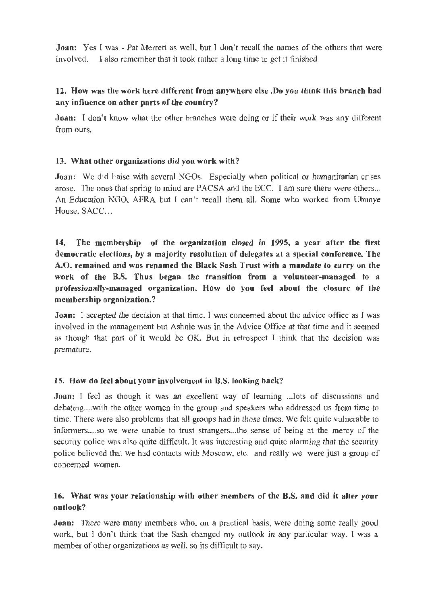**Joan:** Yes I was - Pat Merrett as well, but I don't recall the names of the others that were involved. I also remember that it took rather a long time to get it finished

### **12. How was the work here different from anywhere else .Do you think this branch had any influence on other parts of the country?**

**Joan:** I don't know what the other branches were doing or if their work was any different from ours.

#### **13. What other organizations did you work with?**

**Joan:** We did liaise with several NGOs. Especially when political or humanitarian crises arose. The ones that spring to mind are PACSA and the ECC. I am sure there were others... An Education NGO, AFRA but I can't recall them all. Some who worked from Ubunye House, SACC...

**14. The membership of the organization closed in 1995, a year after the first democratic elections, by a majority resolution of delegates at a special conference. The A.O. remained and was renamed the Black Sash Trust with a mandate to carry on the work of the B.S. Thus began the transition from a volunteer-managed to a professionally-managed organization. How do you feel about the closure of the membership organization.?** 

**Joan:** I accepted the decision at that time. I was concerned about the advice office as I was involved in the management but Ashnie was in the Advice Office at that time and it seemed as though that part of it would be OK. But in retrospect I think that the decision was premature.

#### **15. How do feel about your involvement in B.S. looking back?**

**Joan:** I feel as though it was an excellent way of learning ... lots of discussions and debating.... with the other women in the group and speakers who addressed us from time to time. There were also problems that all groups had in those times. We felt quite vulnerable to informers....so we were unable to trust strangers...the sense of being at the mercy of the security police was also quite difficult. It was interesting and quite alarming that the security police believed that we had contacts with Moscow, etc. and really we were just a group of concerned women.

### **16. What was your relationship with other members of the B.S. and did it alter your outlook?**

**Joan:** There were many members who, on a practical basis, were doing some really good work, but I don't think that the Sash changed my outlook in any particular way. I was a member of other organizations as well, so its difficult to say.